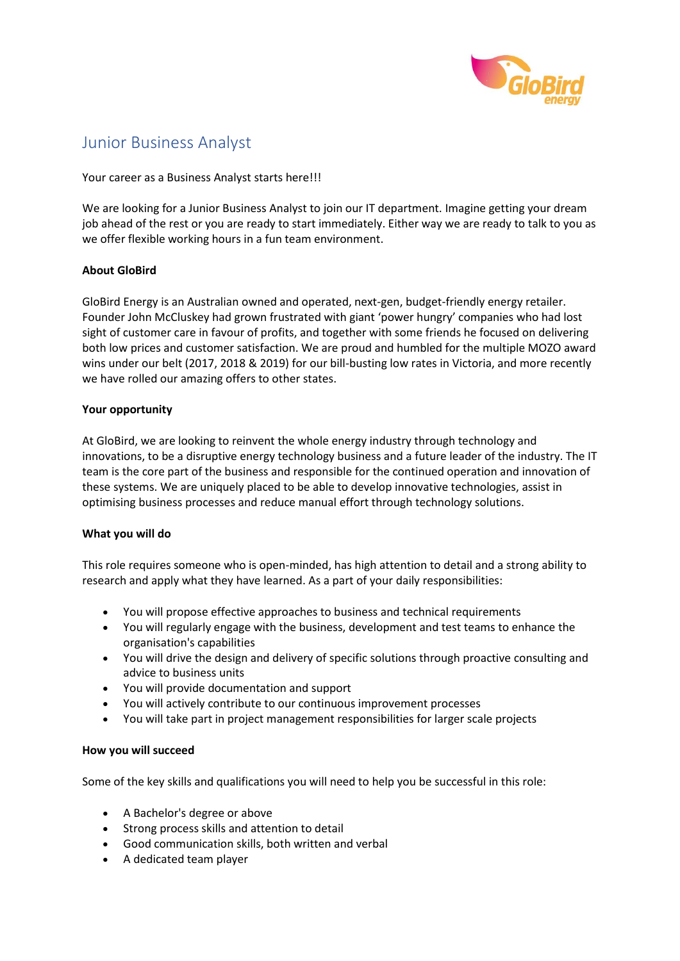

# Junior Business Analyst

Your career as a Business Analyst starts here!!!

We are looking for a Junior Business Analyst to join our IT department. Imagine getting your dream job ahead of the rest or you are ready to start immediately. Either way we are ready to talk to you as we offer flexible working hours in a fun team environment.

## **About GloBird**

GloBird Energy is an Australian owned and operated, next-gen, budget-friendly energy retailer. Founder John McCluskey had grown frustrated with giant 'power hungry' companies who had lost sight of customer care in favour of profits, and together with some friends he focused on delivering both low prices and customer satisfaction. We are proud and humbled for the multiple MOZO award wins under our belt (2017, 2018 & 2019) for our bill-busting low rates in Victoria, and more recently we have rolled our amazing offers to other states.

### **Your opportunity**

At GloBird, we are looking to reinvent the whole energy industry through technology and innovations, to be a disruptive energy technology business and a future leader of the industry. The IT team is the core part of the business and responsible for the continued operation and innovation of these systems. We are uniquely placed to be able to develop innovative technologies, assist in optimising business processes and reduce manual effort through technology solutions.

### **What you will do**

This role requires someone who is open-minded, has high attention to detail and a strong ability to research and apply what they have learned. As a part of your daily responsibilities:

- You will propose effective approaches to business and technical requirements
- You will regularly engage with the business, development and test teams to enhance the organisation's capabilities
- You will drive the design and delivery of specific solutions through proactive consulting and advice to business units
- You will provide documentation and support
- You will actively contribute to our continuous improvement processes
- You will take part in project management responsibilities for larger scale projects

### **How you will succeed**

Some of the key skills and qualifications you will need to help you be successful in this role:

- A Bachelor's degree or above
- Strong process skills and attention to detail
- Good communication skills, both written and verbal
- A dedicated team player